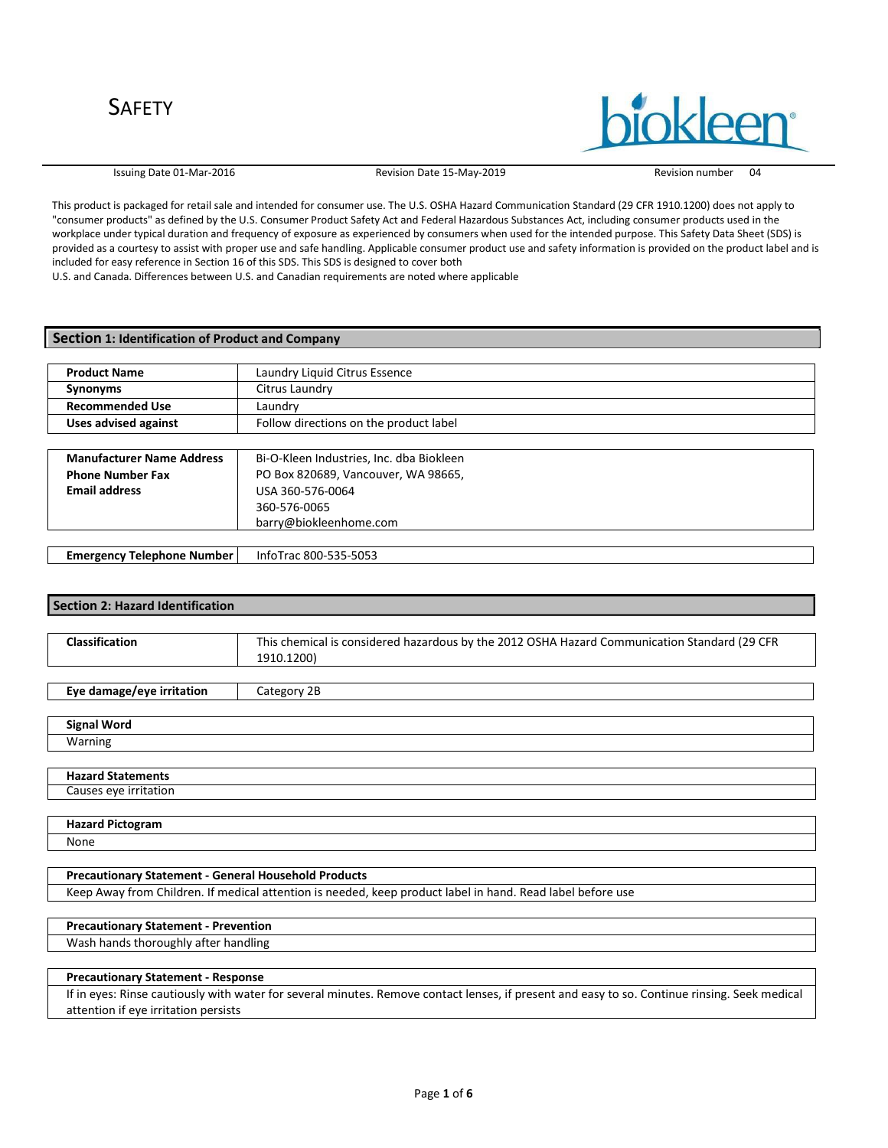Issuing Date 01-Mar-2016 Revision Date 15-May-2019 Revision number 04

This product is packaged for retail sale and intended for consumer use. The U.S. OSHA Hazard Communication Standard (29 CFR 1910.1200) does not apply to "consumer products" as defined by the U.S. Consumer Product Safety Act and Federal Hazardous Substances Act, including consumer products used in the workplace under typical duration and frequency of exposure as experienced by consumers when used for the intended purpose. This Safety Data Sheet (SDS) is provided as a courtesy to assist with proper use and safe handling. Applicable consumer product use and safety information is provided on the product label and is included for easy reference in Section 16 of this SDS. This SDS is designed to cover both

U.S. and Canada. Differences between U.S. and Canadian requirements are noted where applicable

### **Section 1: Identification of Product and Company**

| <b>Product Name</b>         | Laundry Liquid Citrus Essence          |  |
|-----------------------------|----------------------------------------|--|
| Synonyms                    | Citrus Laundry                         |  |
| <b>Recommended Use</b>      | Laundrv                                |  |
| <b>Uses advised against</b> | Follow directions on the product label |  |

| <b>Manufacturer Name Address</b>  | Bi-O-Kleen Industries, Inc. dba Biokleen |  |
|-----------------------------------|------------------------------------------|--|
| <b>Phone Number Fax</b>           | PO Box 820689, Vancouver, WA 98665,      |  |
| <b>Email address</b>              | USA 360-576-0064                         |  |
|                                   | 360-576-0065                             |  |
|                                   | barry@biokleenhome.com                   |  |
|                                   |                                          |  |
| <b>Emergency Telephone Number</b> | InfoTrac 800-535-5053                    |  |

### **Section 2: Hazard Identification**

| Classification | This chemical is considered hazardous by the 2012 OSHA Hazard Communication Standard (29 CFR |
|----------------|----------------------------------------------------------------------------------------------|
|                | 1910.1200)                                                                                   |

**Eye damage/eye irritation** | Category 2B

| <b>Signal Word</b>       |  |
|--------------------------|--|
| Warning                  |  |
|                          |  |
| <b>Hazard Statements</b> |  |
| Causes eye irritation    |  |

|  | <b>Hazard Pictogram</b> |
|--|-------------------------|
|--|-------------------------|

None

### **Precautionary Statement - General Household Products**

Keep Away from Children. If medical attention is needed, keep product label in hand. Read label before use

## **Precautionary Statement - Prevention**

Wash hands thoroughly after handling

#### **Precautionary Statement - Response**

If in eyes: Rinse cautiously with water for several minutes. Remove contact lenses, if present and easy to so. Continue rinsing. Seek medical attention if eye irritation persists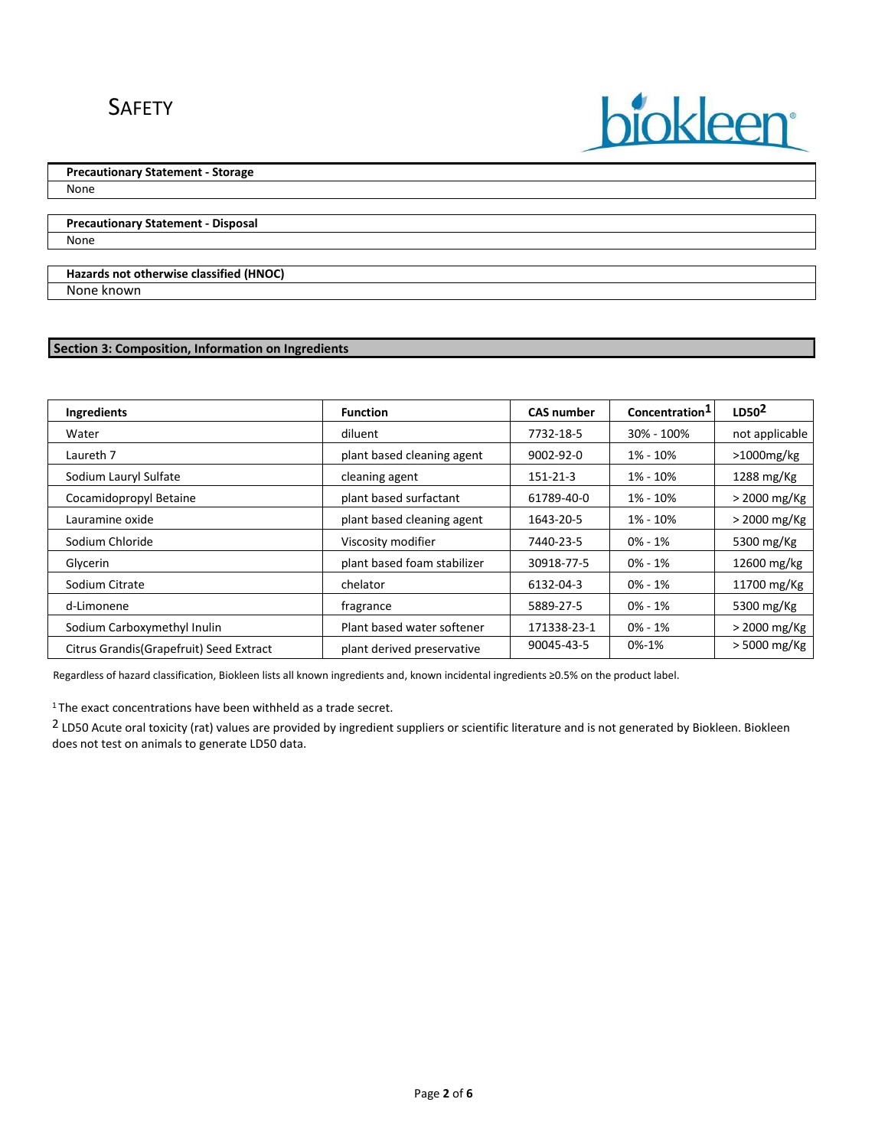# SAFETY

# **Precautionary Statement - Storage**

None

**Precautionary Statement - Disposal** None

### **Hazards not otherwise classified (HNOC)** None known

## **Section 3: Composition, Information on Ingredients**

| Ingredients                              | <b>Function</b>             | <b>CAS number</b> | Concentration <sup>1</sup> | LD50 <sup>2</sup> |
|------------------------------------------|-----------------------------|-------------------|----------------------------|-------------------|
| Water                                    | diluent                     | 7732-18-5         | 30% - 100%                 | not applicable    |
| Laureth 7                                | plant based cleaning agent  | $9002 - 92 - 0$   | 1% - 10%                   | $>1000$ mg/kg     |
| Sodium Lauryl Sulfate                    | cleaning agent              | 151-21-3          | 1% - 10%                   | 1288 mg/Kg        |
| Cocamidopropyl Betaine                   | plant based surfactant      | 61789-40-0        | 1% - 10%                   | $>$ 2000 mg/Kg    |
| Lauramine oxide                          | plant based cleaning agent  | 1643-20-5         | 1% - 10%                   | $>$ 2000 mg/Kg    |
| Sodium Chloride                          | Viscosity modifier          | 7440-23-5         | $0\% - 1\%$                | 5300 mg/Kg        |
| Glycerin                                 | plant based foam stabilizer | 30918-77-5        | $0\% - 1\%$                | 12600 mg/kg       |
| Sodium Citrate                           | chelator                    | 6132-04-3         | $0\% - 1\%$                | 11700 mg/Kg       |
| d-Limonene                               | fragrance                   | 5889-27-5         | 0% - 1%                    | 5300 mg/Kg        |
| Sodium Carboxymethyl Inulin              | Plant based water softener  | 171338-23-1       | $0\% - 1\%$                | $>$ 2000 mg/Kg    |
| Citrus Grandis (Grapefruit) Seed Extract | plant derived preservative  | 90045-43-5        | 0%-1%                      | > 5000 mg/Kg      |

biokleen

Regardless of hazard classification, Biokleen lists all known ingredients and, known incidental ingredients ≥0.5% on the product label.

<sup>1</sup>The exact concentrations have been withheld as a trade secret.

2 LD50 Acute oral toxicity (rat) values are provided by ingredient suppliers or scientific literature and is not generated by Biokleen. Biokleen does not test on animals to generate LD50 data.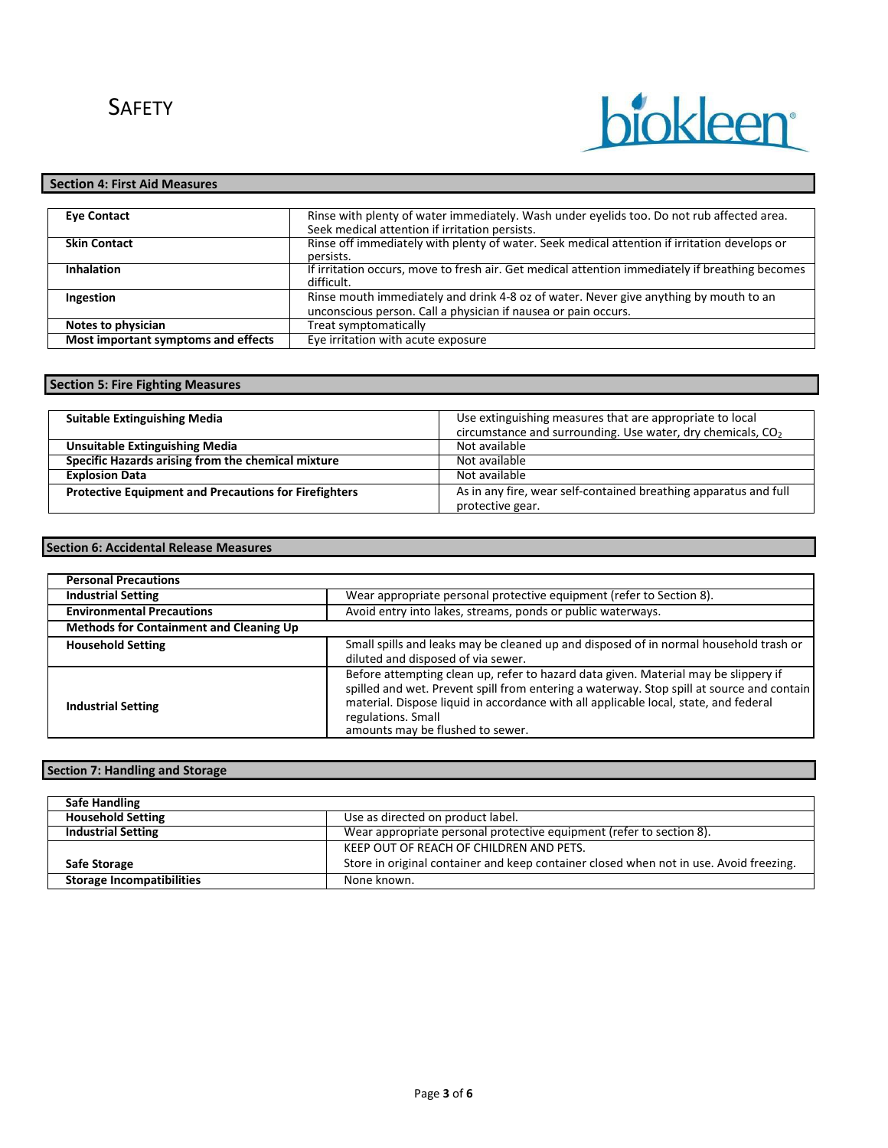# biokleen

## **Section 4: First Aid Measures**

| <b>Eve Contact</b>                  | Rinse with plenty of water immediately. Wash under eyelids too. Do not rub affected area.       |
|-------------------------------------|-------------------------------------------------------------------------------------------------|
|                                     | Seek medical attention if irritation persists.                                                  |
| <b>Skin Contact</b>                 | Rinse off immediately with plenty of water. Seek medical attention if irritation develops or    |
|                                     | persists.                                                                                       |
| <b>Inhalation</b>                   | If irritation occurs, move to fresh air. Get medical attention immediately if breathing becomes |
|                                     | difficult.                                                                                      |
| Ingestion                           | Rinse mouth immediately and drink 4-8 oz of water. Never give anything by mouth to an           |
|                                     | unconscious person. Call a physician if nausea or pain occurs.                                  |
| Notes to physician                  | Treat symptomatically                                                                           |
| Most important symptoms and effects | Eye irritation with acute exposure                                                              |

## **Section 5: Fire Fighting Measures**

| <b>Suitable Extinguishing Media</b>                          | Use extinguishing measures that are appropriate to local<br>circumstance and surrounding. Use water, dry chemicals, CO <sub>2</sub> |
|--------------------------------------------------------------|-------------------------------------------------------------------------------------------------------------------------------------|
| <b>Unsuitable Extinguishing Media</b>                        | Not available                                                                                                                       |
| Specific Hazards arising from the chemical mixture           | Not available                                                                                                                       |
| <b>Explosion Data</b>                                        | Not available                                                                                                                       |
| <b>Protective Equipment and Precautions for Firefighters</b> | As in any fire, wear self-contained breathing apparatus and full<br>protective gear.                                                |

### **Section 6: Accidental Release Measures**

| <b>Personal Precautions</b>                    |                                                                                                                                                                                                                                                                                                                                    |
|------------------------------------------------|------------------------------------------------------------------------------------------------------------------------------------------------------------------------------------------------------------------------------------------------------------------------------------------------------------------------------------|
| <b>Industrial Setting</b>                      | Wear appropriate personal protective equipment (refer to Section 8).                                                                                                                                                                                                                                                               |
| <b>Environmental Precautions</b>               | Avoid entry into lakes, streams, ponds or public waterways.                                                                                                                                                                                                                                                                        |
| <b>Methods for Containment and Cleaning Up</b> |                                                                                                                                                                                                                                                                                                                                    |
| <b>Household Setting</b>                       | Small spills and leaks may be cleaned up and disposed of in normal household trash or<br>diluted and disposed of via sewer.                                                                                                                                                                                                        |
| <b>Industrial Setting</b>                      | Before attempting clean up, refer to hazard data given. Material may be slippery if<br>spilled and wet. Prevent spill from entering a waterway. Stop spill at source and contain<br>material. Dispose liquid in accordance with all applicable local, state, and federal<br>regulations. Small<br>amounts may be flushed to sewer. |

## **Section 7: Handling and Storage**

| <b>Safe Handling</b>             |                                                                                        |
|----------------------------------|----------------------------------------------------------------------------------------|
| <b>Household Setting</b>         | Use as directed on product label.                                                      |
| <b>Industrial Setting</b>        | Wear appropriate personal protective equipment (refer to section 8).                   |
|                                  | KEEP OUT OF REACH OF CHILDREN AND PETS.                                                |
| <b>Safe Storage</b>              | Store in original container and keep container closed when not in use. Avoid freezing. |
| <b>Storage Incompatibilities</b> | None known.                                                                            |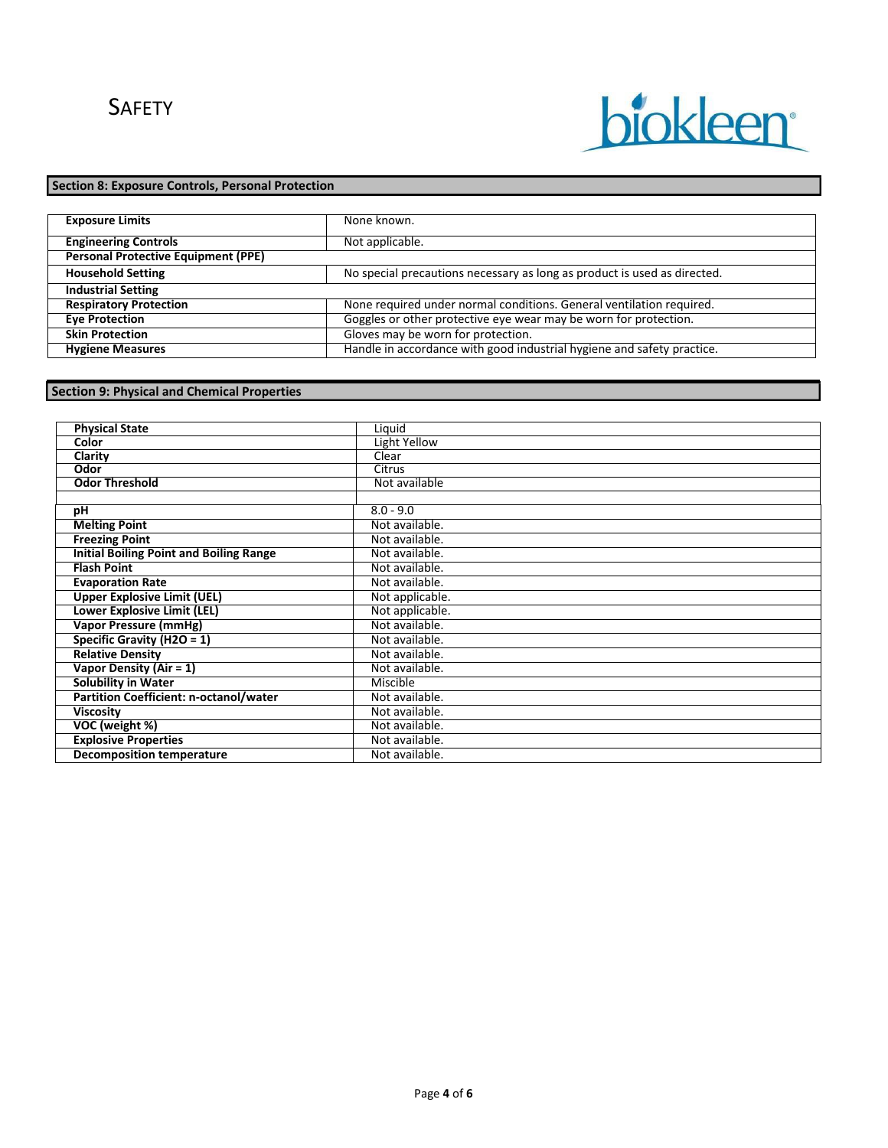# biokleen

## **Section 8: Exposure Controls, Personal Protection**

| <b>Exposure Limits</b>                     | None known.                                                              |
|--------------------------------------------|--------------------------------------------------------------------------|
|                                            |                                                                          |
| <b>Engineering Controls</b>                | Not applicable.                                                          |
| <b>Personal Protective Equipment (PPE)</b> |                                                                          |
| <b>Household Setting</b>                   | No special precautions necessary as long as product is used as directed. |
| <b>Industrial Setting</b>                  |                                                                          |
| <b>Respiratory Protection</b>              | None required under normal conditions. General ventilation required.     |
| <b>Eye Protection</b>                      | Goggles or other protective eye wear may be worn for protection.         |
| <b>Skin Protection</b>                     | Gloves may be worn for protection.                                       |
| <b>Hygiene Measures</b>                    | Handle in accordance with good industrial hygiene and safety practice.   |

## **Section 9: Physical and Chemical Properties**

| <b>Physical State</b>                          | Liquid          |
|------------------------------------------------|-----------------|
| Color                                          | Light Yellow    |
| Clarity                                        | Clear           |
| Odor                                           | <b>Citrus</b>   |
| <b>Odor Threshold</b>                          | Not available   |
|                                                |                 |
| pH                                             | $8.0 - 9.0$     |
| <b>Melting Point</b>                           | Not available.  |
| <b>Freezing Point</b>                          | Not available.  |
| <b>Initial Boiling Point and Boiling Range</b> | Not available.  |
| <b>Flash Point</b>                             | Not available.  |
| <b>Evaporation Rate</b>                        | Not available.  |
| <b>Upper Explosive Limit (UEL)</b>             | Not applicable. |
| <b>Lower Explosive Limit (LEL)</b>             | Not applicable. |
| Vapor Pressure (mmHg)                          | Not available.  |
| Specific Gravity (H2O = $1$ )                  | Not available.  |
| <b>Relative Density</b>                        | Not available.  |
| Vapor Density (Air = 1)                        | Not available.  |
| <b>Solubility in Water</b>                     | Miscible        |
| Partition Coefficient: n-octanol/water         | Not available.  |
| <b>Viscosity</b>                               | Not available.  |
| VOC (weight %)                                 | Not available.  |
| <b>Explosive Properties</b>                    | Not available.  |
| <b>Decomposition temperature</b>               | Not available.  |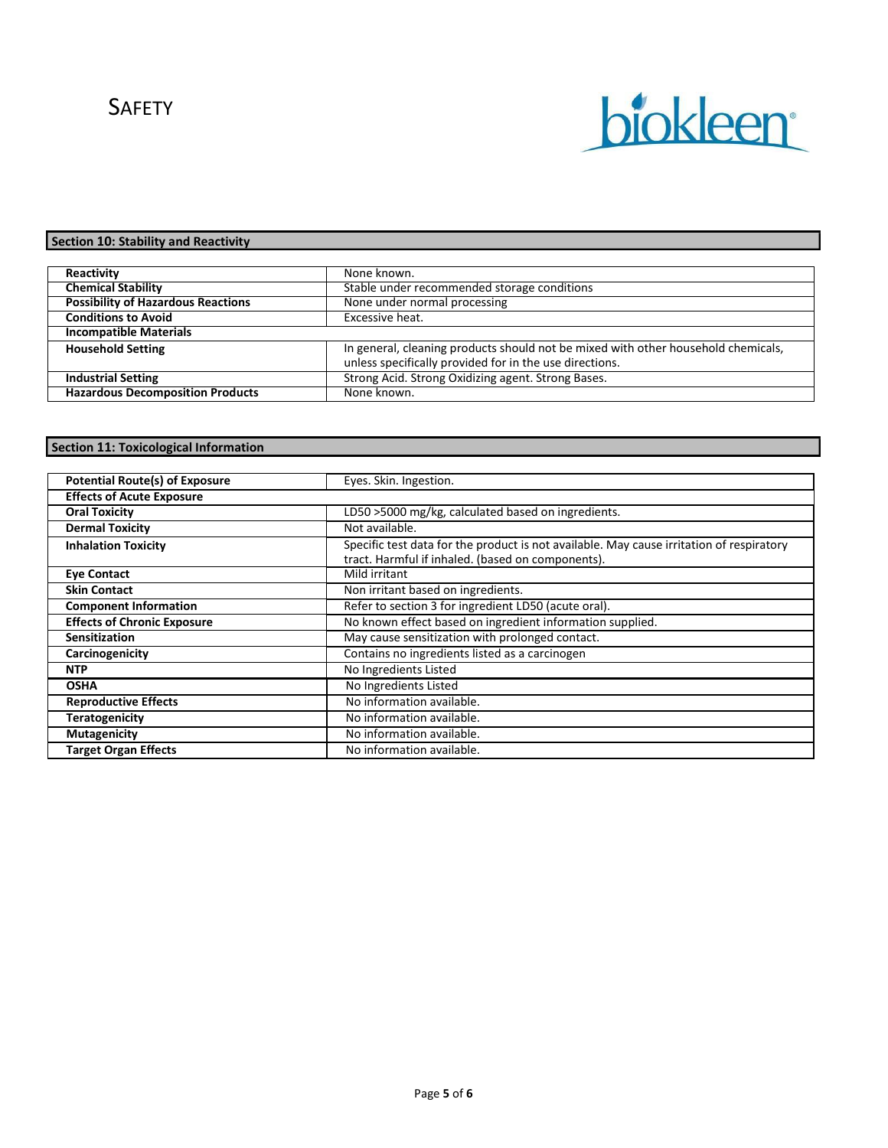# **SAFETY**



## **Section 10: Stability and Reactivity**

| Reactivity                                | None known.                                                                                                                                  |  |
|-------------------------------------------|----------------------------------------------------------------------------------------------------------------------------------------------|--|
| <b>Chemical Stability</b>                 | Stable under recommended storage conditions                                                                                                  |  |
| <b>Possibility of Hazardous Reactions</b> | None under normal processing                                                                                                                 |  |
| <b>Conditions to Avoid</b>                | Excessive heat.                                                                                                                              |  |
| <b>Incompatible Materials</b>             |                                                                                                                                              |  |
| <b>Household Setting</b>                  | In general, cleaning products should not be mixed with other household chemicals,<br>unless specifically provided for in the use directions. |  |
| <b>Industrial Setting</b>                 | Strong Acid. Strong Oxidizing agent. Strong Bases.                                                                                           |  |
| <b>Hazardous Decomposition Products</b>   | None known.                                                                                                                                  |  |

# **Section 11: Toxicological Information**

| <b>Potential Route(s) of Exposure</b> | Eyes. Skin. Ingestion.                                                                                                                        |  |
|---------------------------------------|-----------------------------------------------------------------------------------------------------------------------------------------------|--|
| <b>Effects of Acute Exposure</b>      |                                                                                                                                               |  |
| <b>Oral Toxicity</b>                  | LD50 >5000 mg/kg, calculated based on ingredients.                                                                                            |  |
| <b>Dermal Toxicity</b>                | Not available.                                                                                                                                |  |
| <b>Inhalation Toxicity</b>            | Specific test data for the product is not available. May cause irritation of respiratory<br>tract. Harmful if inhaled. (based on components). |  |
| <b>Eye Contact</b>                    | Mild irritant                                                                                                                                 |  |
| <b>Skin Contact</b>                   | Non irritant based on ingredients.                                                                                                            |  |
| <b>Component Information</b>          | Refer to section 3 for ingredient LD50 (acute oral).                                                                                          |  |
| <b>Effects of Chronic Exposure</b>    | No known effect based on ingredient information supplied.                                                                                     |  |
| <b>Sensitization</b>                  | May cause sensitization with prolonged contact.                                                                                               |  |
| Carcinogenicity                       | Contains no ingredients listed as a carcinogen                                                                                                |  |
| <b>NTP</b>                            | No Ingredients Listed                                                                                                                         |  |
| <b>OSHA</b>                           | No Ingredients Listed                                                                                                                         |  |
| <b>Reproductive Effects</b>           | No information available.                                                                                                                     |  |
| <b>Teratogenicity</b>                 | No information available.                                                                                                                     |  |
| <b>Mutagenicity</b>                   | No information available.                                                                                                                     |  |
| <b>Target Organ Effects</b>           | No information available.                                                                                                                     |  |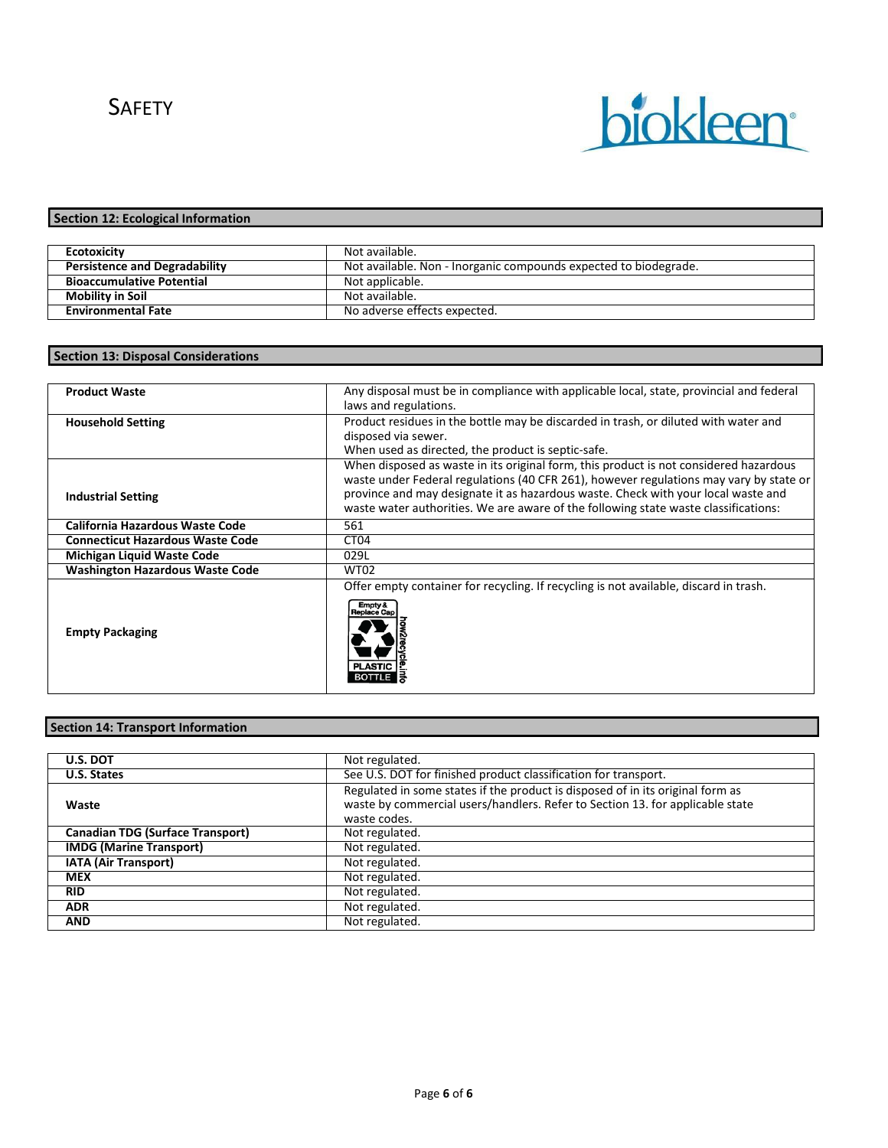

# **Section 12: Ecological Information**

| <b>Ecotoxicity</b>                   | Not available.                                                   |
|--------------------------------------|------------------------------------------------------------------|
| <b>Persistence and Degradability</b> | Not available. Non - Inorganic compounds expected to biodegrade. |
| <b>Bioaccumulative Potential</b>     | Not applicable.                                                  |
| <b>Mobility in Soil</b>              | Not available.                                                   |
| <b>Environmental Fate</b>            | No adverse effects expected.                                     |

## **Section 13: Disposal Considerations**

| <b>Product Waste</b>                    | Any disposal must be in compliance with applicable local, state, provincial and federal<br>laws and regulations.                                                                                                                                                                                                                                            |  |  |
|-----------------------------------------|-------------------------------------------------------------------------------------------------------------------------------------------------------------------------------------------------------------------------------------------------------------------------------------------------------------------------------------------------------------|--|--|
| <b>Household Setting</b>                | Product residues in the bottle may be discarded in trash, or diluted with water and<br>disposed via sewer.<br>When used as directed, the product is septic-safe.                                                                                                                                                                                            |  |  |
| <b>Industrial Setting</b>               | When disposed as waste in its original form, this product is not considered hazardous<br>waste under Federal regulations (40 CFR 261), however regulations may vary by state or<br>province and may designate it as hazardous waste. Check with your local waste and<br>waste water authorities. We are aware of the following state waste classifications: |  |  |
| California Hazardous Waste Code         | 561                                                                                                                                                                                                                                                                                                                                                         |  |  |
| <b>Connecticut Hazardous Waste Code</b> | CT <sub>04</sub>                                                                                                                                                                                                                                                                                                                                            |  |  |
| <b>Michigan Liquid Waste Code</b>       | 029L                                                                                                                                                                                                                                                                                                                                                        |  |  |
| <b>Washington Hazardous Waste Code</b>  | <b>WT02</b>                                                                                                                                                                                                                                                                                                                                                 |  |  |
| <b>Empty Packaging</b>                  | Offer empty container for recycling. If recycling is not available, discard in trash.<br>Empty &<br>Replace Car<br><b>PLAST</b>                                                                                                                                                                                                                             |  |  |

# **Section 14: Transport Information**

| <b>U.S. DOT</b>                         | Not regulated.                                                                                                                                                                  |  |
|-----------------------------------------|---------------------------------------------------------------------------------------------------------------------------------------------------------------------------------|--|
| U.S. States                             | See U.S. DOT for finished product classification for transport.                                                                                                                 |  |
| Waste                                   | Regulated in some states if the product is disposed of in its original form as<br>waste by commercial users/handlers. Refer to Section 13. for applicable state<br>waste codes. |  |
| <b>Canadian TDG (Surface Transport)</b> | Not regulated.                                                                                                                                                                  |  |
| <b>IMDG (Marine Transport)</b>          | Not regulated.                                                                                                                                                                  |  |
| <b>IATA (Air Transport)</b>             | Not regulated.                                                                                                                                                                  |  |
| <b>MEX</b>                              | Not regulated.                                                                                                                                                                  |  |
| <b>RID</b>                              | Not regulated.                                                                                                                                                                  |  |
| <b>ADR</b>                              | Not regulated.                                                                                                                                                                  |  |
| <b>AND</b>                              | Not regulated.                                                                                                                                                                  |  |